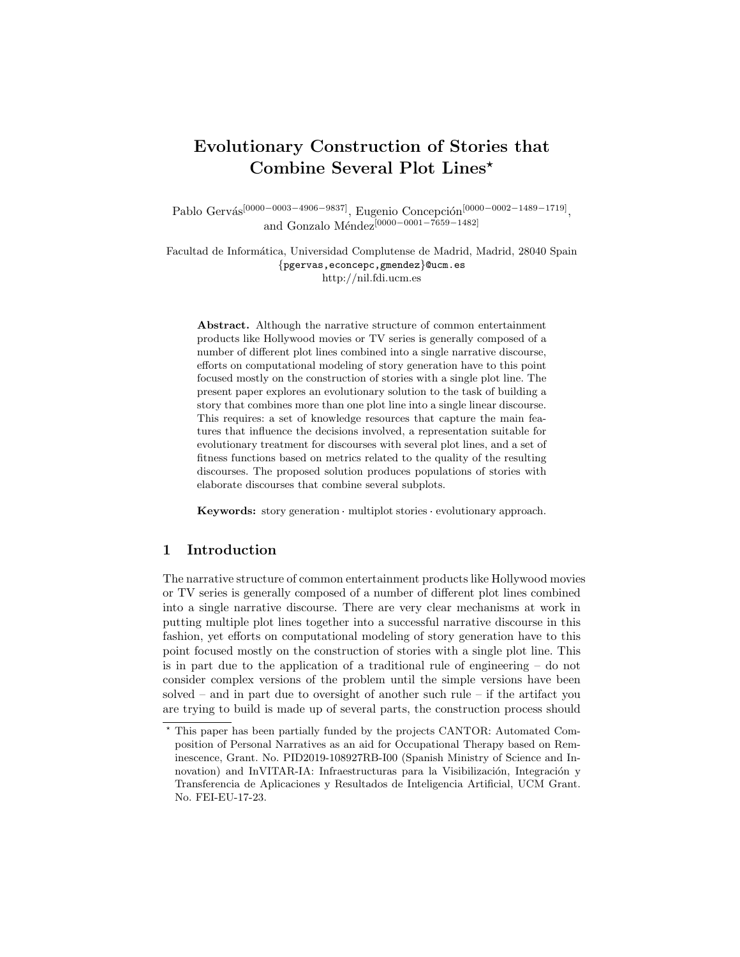# Evolutionary Construction of Stories that Combine Several Plot Lines?

Pablo Gervás<sup>[0000–0003–4906–9837]</sup>, Eugenio Concepción<sup>[0000–0002–1489–1719]</sup>, and Gonzalo Méndez<sup>[0000–0001–7659–1482]</sup>

Facultad de Informática, Universidad Complutense de Madrid, Madrid, 28040 Spain {pgervas,econcepc,gmendez}@ucm.es http://nil.fdi.ucm.es

Abstract. Although the narrative structure of common entertainment products like Hollywood movies or TV series is generally composed of a number of different plot lines combined into a single narrative discourse, efforts on computational modeling of story generation have to this point focused mostly on the construction of stories with a single plot line. The present paper explores an evolutionary solution to the task of building a story that combines more than one plot line into a single linear discourse. This requires: a set of knowledge resources that capture the main features that influence the decisions involved, a representation suitable for evolutionary treatment for discourses with several plot lines, and a set of fitness functions based on metrics related to the quality of the resulting discourses. The proposed solution produces populations of stories with elaborate discourses that combine several subplots.

Keywords: story generation · multiplot stories · evolutionary approach.

# 1 Introduction

The narrative structure of common entertainment products like Hollywood movies or TV series is generally composed of a number of different plot lines combined into a single narrative discourse. There are very clear mechanisms at work in putting multiple plot lines together into a successful narrative discourse in this fashion, yet efforts on computational modeling of story generation have to this point focused mostly on the construction of stories with a single plot line. This is in part due to the application of a traditional rule of engineering – do not consider complex versions of the problem until the simple versions have been solved – and in part due to oversight of another such rule – if the artifact you are trying to build is made up of several parts, the construction process should

<sup>?</sup> This paper has been partially funded by the projects CANTOR: Automated Composition of Personal Narratives as an aid for Occupational Therapy based on Reminescence, Grant. No. PID2019-108927RB-I00 (Spanish Ministry of Science and Innovation) and InVITAR-IA: Infraestructuras para la Visibilización, Integración y Transferencia de Aplicaciones y Resultados de Inteligencia Artificial, UCM Grant. No. FEI-EU-17-23.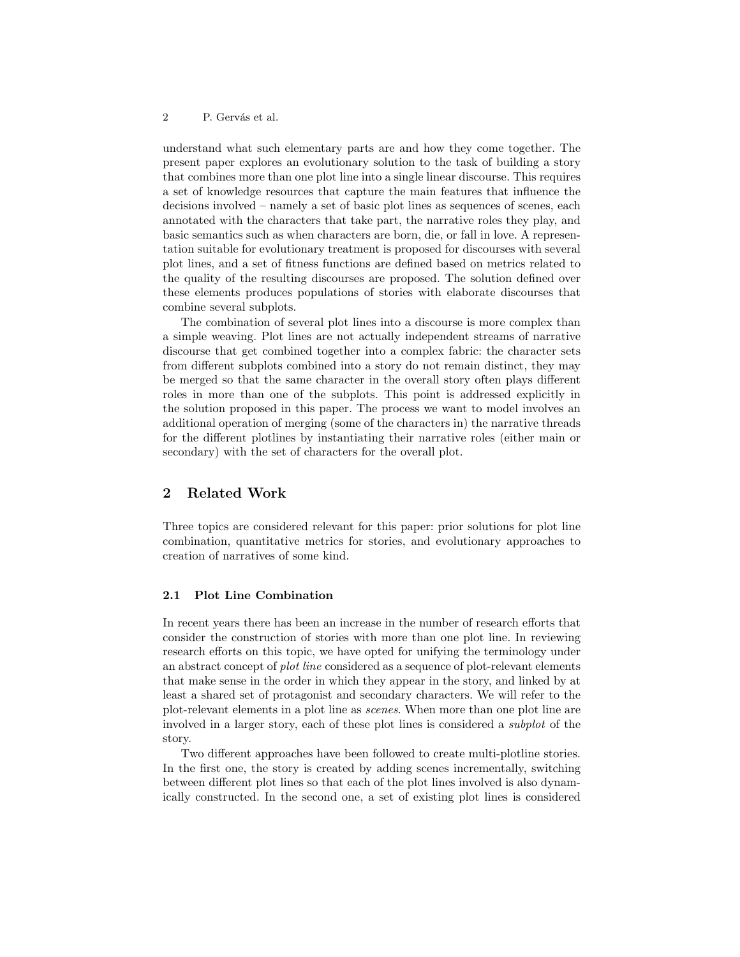understand what such elementary parts are and how they come together. The present paper explores an evolutionary solution to the task of building a story that combines more than one plot line into a single linear discourse. This requires a set of knowledge resources that capture the main features that influence the decisions involved – namely a set of basic plot lines as sequences of scenes, each annotated with the characters that take part, the narrative roles they play, and basic semantics such as when characters are born, die, or fall in love. A representation suitable for evolutionary treatment is proposed for discourses with several plot lines, and a set of fitness functions are defined based on metrics related to the quality of the resulting discourses are proposed. The solution defined over these elements produces populations of stories with elaborate discourses that combine several subplots.

The combination of several plot lines into a discourse is more complex than a simple weaving. Plot lines are not actually independent streams of narrative discourse that get combined together into a complex fabric: the character sets from different subplots combined into a story do not remain distinct, they may be merged so that the same character in the overall story often plays different roles in more than one of the subplots. This point is addressed explicitly in the solution proposed in this paper. The process we want to model involves an additional operation of merging (some of the characters in) the narrative threads for the different plotlines by instantiating their narrative roles (either main or secondary) with the set of characters for the overall plot.

# 2 Related Work

Three topics are considered relevant for this paper: prior solutions for plot line combination, quantitative metrics for stories, and evolutionary approaches to creation of narratives of some kind.

# 2.1 Plot Line Combination

In recent years there has been an increase in the number of research efforts that consider the construction of stories with more than one plot line. In reviewing research efforts on this topic, we have opted for unifying the terminology under an abstract concept of plot line considered as a sequence of plot-relevant elements that make sense in the order in which they appear in the story, and linked by at least a shared set of protagonist and secondary characters. We will refer to the plot-relevant elements in a plot line as scenes. When more than one plot line are involved in a larger story, each of these plot lines is considered a subplot of the story.

Two different approaches have been followed to create multi-plotline stories. In the first one, the story is created by adding scenes incrementally, switching between different plot lines so that each of the plot lines involved is also dynamically constructed. In the second one, a set of existing plot lines is considered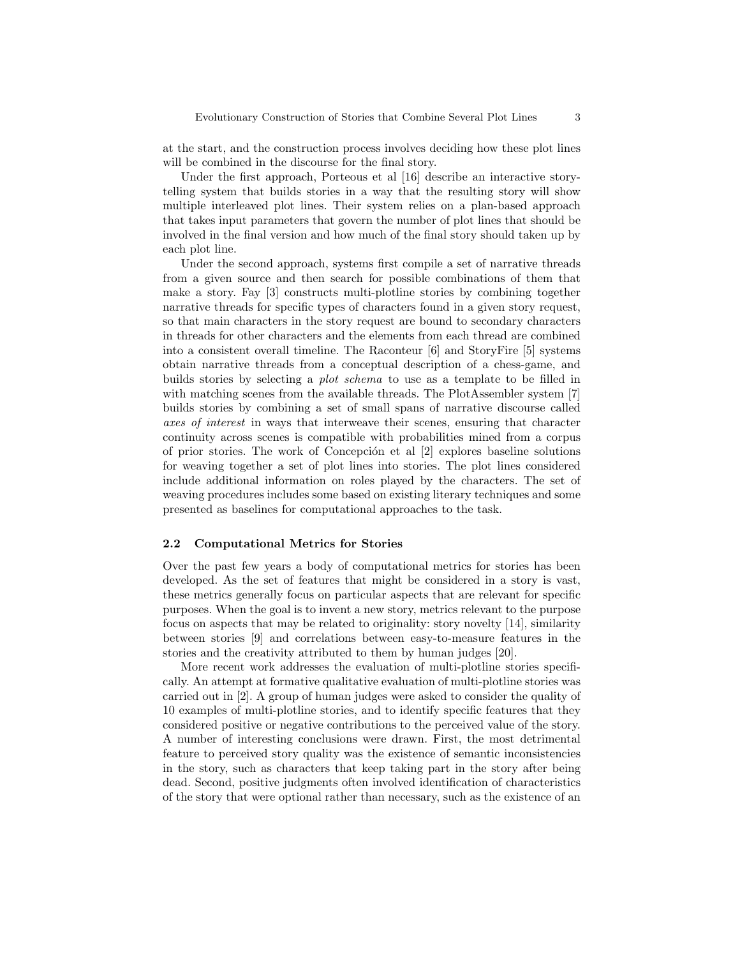at the start, and the construction process involves deciding how these plot lines will be combined in the discourse for the final story.

Under the first approach, Porteous et al [16] describe an interactive storytelling system that builds stories in a way that the resulting story will show multiple interleaved plot lines. Their system relies on a plan-based approach that takes input parameters that govern the number of plot lines that should be involved in the final version and how much of the final story should taken up by each plot line.

Under the second approach, systems first compile a set of narrative threads from a given source and then search for possible combinations of them that make a story. Fay [3] constructs multi-plotline stories by combining together narrative threads for specific types of characters found in a given story request, so that main characters in the story request are bound to secondary characters in threads for other characters and the elements from each thread are combined into a consistent overall timeline. The Raconteur [6] and StoryFire [5] systems obtain narrative threads from a conceptual description of a chess-game, and builds stories by selecting a plot schema to use as a template to be filled in with matching scenes from the available threads. The PlotAssembler system [7] builds stories by combining a set of small spans of narrative discourse called axes of interest in ways that interweave their scenes, ensuring that character continuity across scenes is compatible with probabilities mined from a corpus of prior stories. The work of Concepción et al  $[2]$  explores baseline solutions for weaving together a set of plot lines into stories. The plot lines considered include additional information on roles played by the characters. The set of weaving procedures includes some based on existing literary techniques and some presented as baselines for computational approaches to the task.

## 2.2 Computational Metrics for Stories

Over the past few years a body of computational metrics for stories has been developed. As the set of features that might be considered in a story is vast, these metrics generally focus on particular aspects that are relevant for specific purposes. When the goal is to invent a new story, metrics relevant to the purpose focus on aspects that may be related to originality: story novelty [14], similarity between stories [9] and correlations between easy-to-measure features in the stories and the creativity attributed to them by human judges [20].

More recent work addresses the evaluation of multi-plotline stories specifically. An attempt at formative qualitative evaluation of multi-plotline stories was carried out in [2]. A group of human judges were asked to consider the quality of 10 examples of multi-plotline stories, and to identify specific features that they considered positive or negative contributions to the perceived value of the story. A number of interesting conclusions were drawn. First, the most detrimental feature to perceived story quality was the existence of semantic inconsistencies in the story, such as characters that keep taking part in the story after being dead. Second, positive judgments often involved identification of characteristics of the story that were optional rather than necessary, such as the existence of an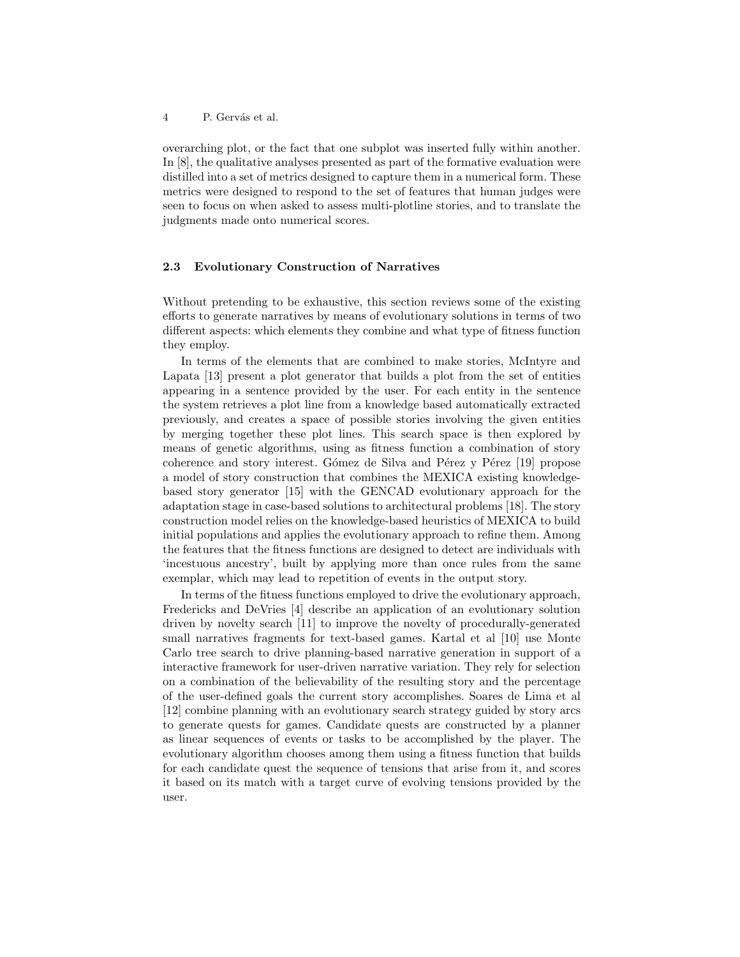overarching plot, or the fact that one subplot was inserted fully within another. In [8], the qualitative analyses presented as part of the formative evaluation were distilled into a set of metrics designed to capture them in a numerical form. These metrics were designed to respond to the set of features that human judges were seen to focus on when asked to assess multi-plotline stories, and to translate the judgments made onto numerical scores.

## 2.3 Evolutionary Construction of Narratives

Without pretending to be exhaustive, this section reviews some of the existing efforts to generate narratives by means of evolutionary solutions in terms of two different aspects: which elements they combine and what type of fitness function they employ.

In terms of the elements that are combined to make stories, McIntyre and Lapata [13] present a plot generator that builds a plot from the set of entities appearing in a sentence provided by the user. For each entity in the sentence the system retrieves a plot line from a knowledge based automatically extracted previously, and creates a space of possible stories involving the given entities by merging together these plot lines. This search space is then explored by means of genetic algorithms, using as fitness function a combination of story coherence and story interest. Gómez de Silva and Pérez y Pérez [19] propose a model of story construction that combines the MEXICA existing knowledgebased story generator [15] with the GENCAD evolutionary approach for the adaptation stage in case-based solutions to architectural problems [18]. The story construction model relies on the knowledge-based heuristics of MEXICA to build initial populations and applies the evolutionary approach to refine them. Among the features that the fitness functions are designed to detect are individuals with 'incestuous ancestry', built by applying more than once rules from the same exemplar, which may lead to repetition of events in the output story.

In terms of the fitness functions employed to drive the evolutionary approach, Fredericks and DeVries [4] describe an application of an evolutionary solution driven by novelty search [11] to improve the novelty of procedurally-generated small narratives fragments for text-based games. Kartal et al [10] use Monte Carlo tree search to drive planning-based narrative generation in support of a interactive framework for user-driven narrative variation. They rely for selection on a combination of the believability of the resulting story and the percentage of the user-defined goals the current story accomplishes. Soares de Lima et al [12] combine planning with an evolutionary search strategy guided by story arcs to generate quests for games. Candidate quests are constructed by a planner as linear sequences of events or tasks to be accomplished by the player. The evolutionary algorithm chooses among them using a fitness function that builds for each candidate quest the sequence of tensions that arise from it, and scores it based on its match with a target curve of evolving tensions provided by the user.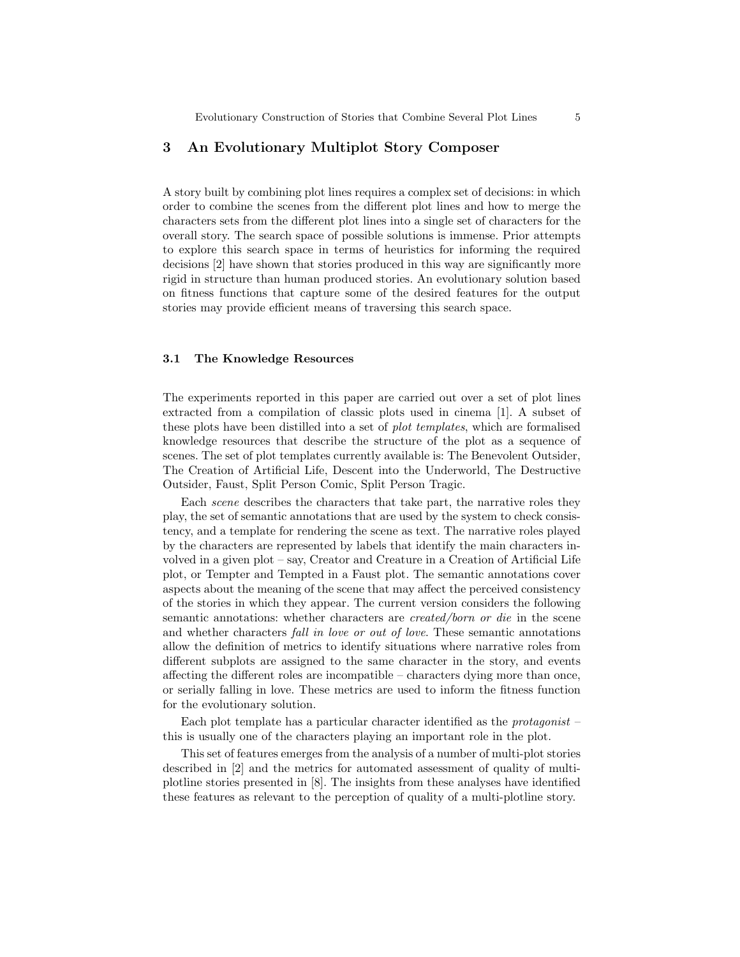# 3 An Evolutionary Multiplot Story Composer

A story built by combining plot lines requires a complex set of decisions: in which order to combine the scenes from the different plot lines and how to merge the characters sets from the different plot lines into a single set of characters for the overall story. The search space of possible solutions is immense. Prior attempts to explore this search space in terms of heuristics for informing the required decisions [2] have shown that stories produced in this way are significantly more rigid in structure than human produced stories. An evolutionary solution based on fitness functions that capture some of the desired features for the output stories may provide efficient means of traversing this search space.

# 3.1 The Knowledge Resources

The experiments reported in this paper are carried out over a set of plot lines extracted from a compilation of classic plots used in cinema [1]. A subset of these plots have been distilled into a set of plot templates, which are formalised knowledge resources that describe the structure of the plot as a sequence of scenes. The set of plot templates currently available is: The Benevolent Outsider, The Creation of Artificial Life, Descent into the Underworld, The Destructive Outsider, Faust, Split Person Comic, Split Person Tragic.

Each scene describes the characters that take part, the narrative roles they play, the set of semantic annotations that are used by the system to check consistency, and a template for rendering the scene as text. The narrative roles played by the characters are represented by labels that identify the main characters involved in a given plot – say, Creator and Creature in a Creation of Artificial Life plot, or Tempter and Tempted in a Faust plot. The semantic annotations cover aspects about the meaning of the scene that may affect the perceived consistency of the stories in which they appear. The current version considers the following semantic annotations: whether characters are *created/born or die* in the scene and whether characters fall in love or out of love. These semantic annotations allow the definition of metrics to identify situations where narrative roles from different subplots are assigned to the same character in the story, and events affecting the different roles are incompatible – characters dying more than once, or serially falling in love. These metrics are used to inform the fitness function for the evolutionary solution.

Each plot template has a particular character identified as the *protagonist* – this is usually one of the characters playing an important role in the plot.

This set of features emerges from the analysis of a number of multi-plot stories described in [2] and the metrics for automated assessment of quality of multiplotline stories presented in [8]. The insights from these analyses have identified these features as relevant to the perception of quality of a multi-plotline story.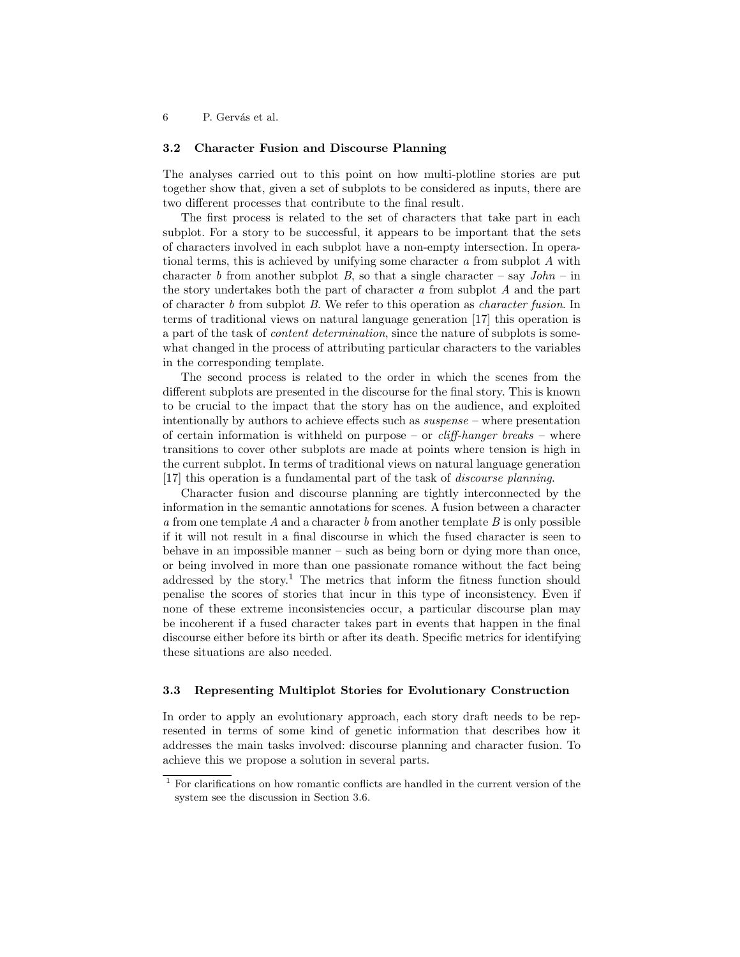### 3.2 Character Fusion and Discourse Planning

The analyses carried out to this point on how multi-plotline stories are put together show that, given a set of subplots to be considered as inputs, there are two different processes that contribute to the final result.

The first process is related to the set of characters that take part in each subplot. For a story to be successful, it appears to be important that the sets of characters involved in each subplot have a non-empty intersection. In operational terms, this is achieved by unifying some character a from subplot A with character b from another subplot B, so that a single character – say  $John - in$ the story undertakes both the part of character a from subplot A and the part of character b from subplot B. We refer to this operation as character fusion. In terms of traditional views on natural language generation [17] this operation is a part of the task of content determination, since the nature of subplots is somewhat changed in the process of attributing particular characters to the variables in the corresponding template.

The second process is related to the order in which the scenes from the different subplots are presented in the discourse for the final story. This is known to be crucial to the impact that the story has on the audience, and exploited intentionally by authors to achieve effects such as suspense – where presentation of certain information is withheld on purpose – or  $\textit{cliff}$ -hanger breaks – where transitions to cover other subplots are made at points where tension is high in the current subplot. In terms of traditional views on natural language generation [17] this operation is a fundamental part of the task of discourse planning.

Character fusion and discourse planning are tightly interconnected by the information in the semantic annotations for scenes. A fusion between a character a from one template A and a character b from another template B is only possible if it will not result in a final discourse in which the fused character is seen to behave in an impossible manner – such as being born or dying more than once, or being involved in more than one passionate romance without the fact being addressed by the story.<sup>1</sup> The metrics that inform the fitness function should penalise the scores of stories that incur in this type of inconsistency. Even if none of these extreme inconsistencies occur, a particular discourse plan may be incoherent if a fused character takes part in events that happen in the final discourse either before its birth or after its death. Specific metrics for identifying these situations are also needed.

## 3.3 Representing Multiplot Stories for Evolutionary Construction

In order to apply an evolutionary approach, each story draft needs to be represented in terms of some kind of genetic information that describes how it addresses the main tasks involved: discourse planning and character fusion. To achieve this we propose a solution in several parts.

 $^{\rm 1}$  For clarifications on how romantic conflicts are handled in the current version of the system see the discussion in Section 3.6.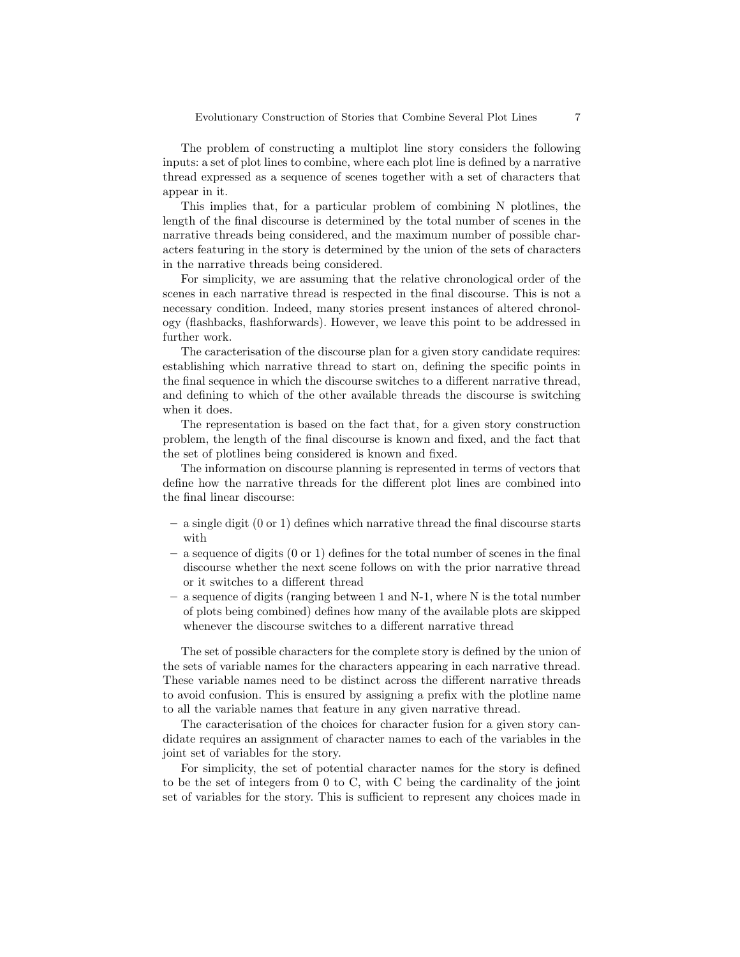The problem of constructing a multiplot line story considers the following inputs: a set of plot lines to combine, where each plot line is defined by a narrative thread expressed as a sequence of scenes together with a set of characters that appear in it.

This implies that, for a particular problem of combining N plotlines, the length of the final discourse is determined by the total number of scenes in the narrative threads being considered, and the maximum number of possible characters featuring in the story is determined by the union of the sets of characters in the narrative threads being considered.

For simplicity, we are assuming that the relative chronological order of the scenes in each narrative thread is respected in the final discourse. This is not a necessary condition. Indeed, many stories present instances of altered chronology (flashbacks, flashforwards). However, we leave this point to be addressed in further work.

The caracterisation of the discourse plan for a given story candidate requires: establishing which narrative thread to start on, defining the specific points in the final sequence in which the discourse switches to a different narrative thread, and defining to which of the other available threads the discourse is switching when it does.

The representation is based on the fact that, for a given story construction problem, the length of the final discourse is known and fixed, and the fact that the set of plotlines being considered is known and fixed.

The information on discourse planning is represented in terms of vectors that define how the narrative threads for the different plot lines are combined into the final linear discourse:

- $-$  a single digit (0 or 1) defines which narrative thread the final discourse starts with
- a sequence of digits (0 or 1) defines for the total number of scenes in the final discourse whether the next scene follows on with the prior narrative thread or it switches to a different thread
- a sequence of digits (ranging between 1 and N-1, where N is the total number of plots being combined) defines how many of the available plots are skipped whenever the discourse switches to a different narrative thread

The set of possible characters for the complete story is defined by the union of the sets of variable names for the characters appearing in each narrative thread. These variable names need to be distinct across the different narrative threads to avoid confusion. This is ensured by assigning a prefix with the plotline name to all the variable names that feature in any given narrative thread.

The caracterisation of the choices for character fusion for a given story candidate requires an assignment of character names to each of the variables in the joint set of variables for the story.

For simplicity, the set of potential character names for the story is defined to be the set of integers from 0 to C, with C being the cardinality of the joint set of variables for the story. This is sufficient to represent any choices made in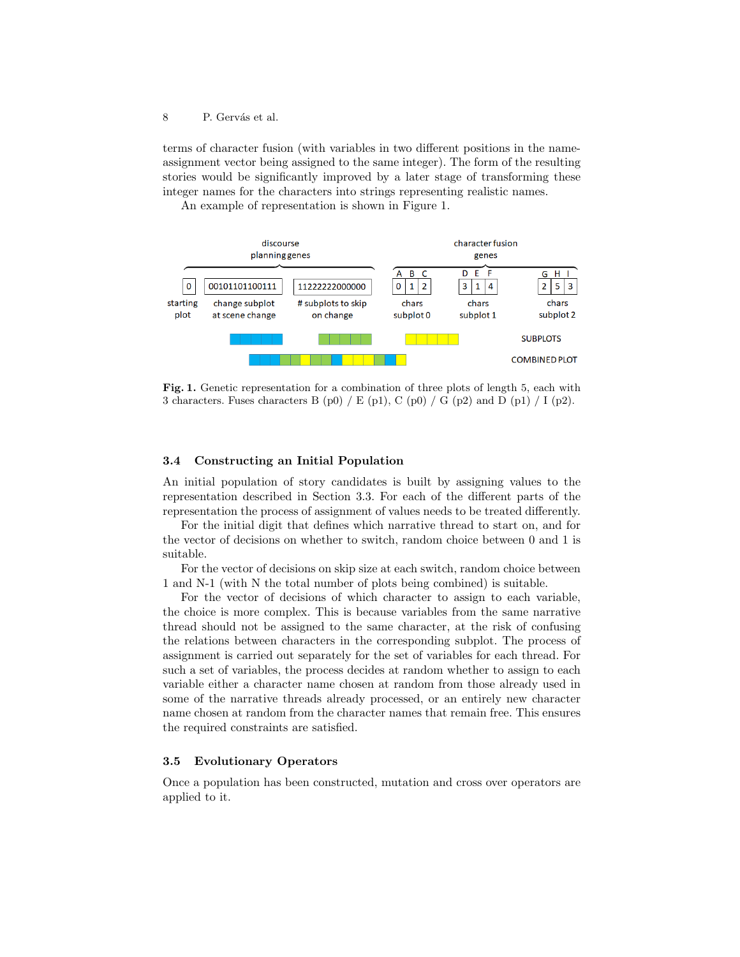terms of character fusion (with variables in two different positions in the nameassignment vector being assigned to the same integer). The form of the resulting stories would be significantly improved by a later stage of transforming these integer names for the characters into strings representing realistic names.

An example of representation is shown in Figure 1.



Fig. 1. Genetic representation for a combination of three plots of length 5, each with 3 characters. Fuses characters B (p0) / E (p1), C (p0) / G (p2) and D (p1) / I (p2).

# 3.4 Constructing an Initial Population

An initial population of story candidates is built by assigning values to the representation described in Section 3.3. For each of the different parts of the representation the process of assignment of values needs to be treated differently.

For the initial digit that defines which narrative thread to start on, and for the vector of decisions on whether to switch, random choice between 0 and 1 is suitable.

For the vector of decisions on skip size at each switch, random choice between 1 and N-1 (with N the total number of plots being combined) is suitable.

For the vector of decisions of which character to assign to each variable, the choice is more complex. This is because variables from the same narrative thread should not be assigned to the same character, at the risk of confusing the relations between characters in the corresponding subplot. The process of assignment is carried out separately for the set of variables for each thread. For such a set of variables, the process decides at random whether to assign to each variable either a character name chosen at random from those already used in some of the narrative threads already processed, or an entirely new character name chosen at random from the character names that remain free. This ensures the required constraints are satisfied.

# 3.5 Evolutionary Operators

Once a population has been constructed, mutation and cross over operators are applied to it.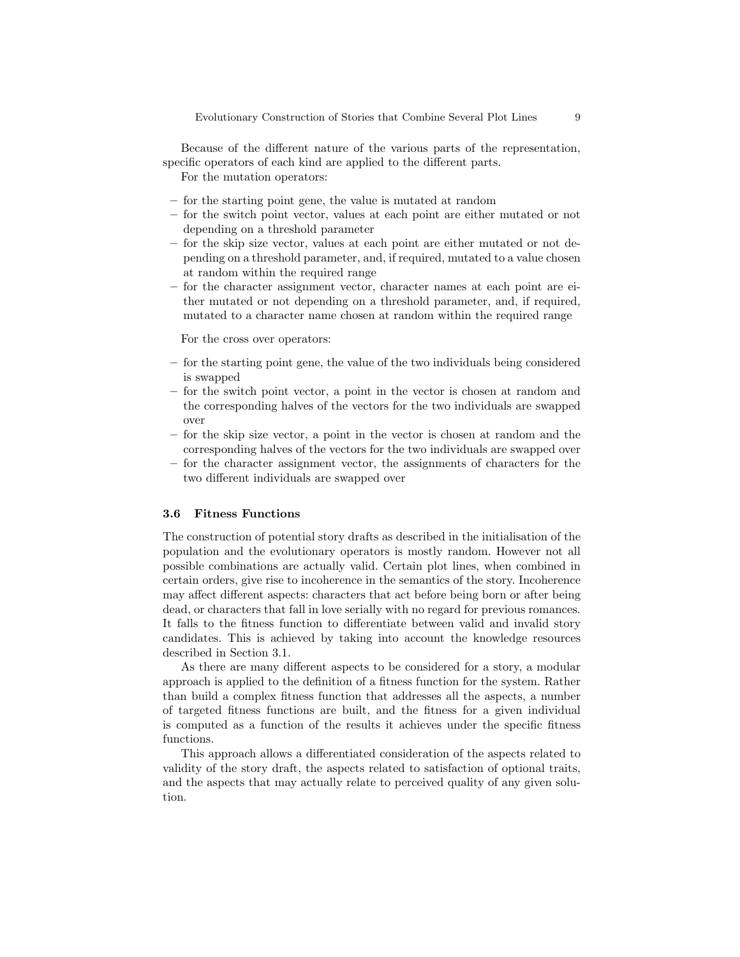Because of the different nature of the various parts of the representation, specific operators of each kind are applied to the different parts.

For the mutation operators:

- for the starting point gene, the value is mutated at random
- for the switch point vector, values at each point are either mutated or not depending on a threshold parameter
- for the skip size vector, values at each point are either mutated or not depending on a threshold parameter, and, if required, mutated to a value chosen at random within the required range
- for the character assignment vector, character names at each point are either mutated or not depending on a threshold parameter, and, if required, mutated to a character name chosen at random within the required range

For the cross over operators:

- for the starting point gene, the value of the two individuals being considered is swapped
- for the switch point vector, a point in the vector is chosen at random and the corresponding halves of the vectors for the two individuals are swapped over
- for the skip size vector, a point in the vector is chosen at random and the corresponding halves of the vectors for the two individuals are swapped over
- for the character assignment vector, the assignments of characters for the two different individuals are swapped over

#### 3.6 Fitness Functions

The construction of potential story drafts as described in the initialisation of the population and the evolutionary operators is mostly random. However not all possible combinations are actually valid. Certain plot lines, when combined in certain orders, give rise to incoherence in the semantics of the story. Incoherence may affect different aspects: characters that act before being born or after being dead, or characters that fall in love serially with no regard for previous romances. It falls to the fitness function to differentiate between valid and invalid story candidates. This is achieved by taking into account the knowledge resources described in Section 3.1.

As there are many different aspects to be considered for a story, a modular approach is applied to the definition of a fitness function for the system. Rather than build a complex fitness function that addresses all the aspects, a number of targeted fitness functions are built, and the fitness for a given individual is computed as a function of the results it achieves under the specific fitness functions.

This approach allows a differentiated consideration of the aspects related to validity of the story draft, the aspects related to satisfaction of optional traits, and the aspects that may actually relate to perceived quality of any given solution.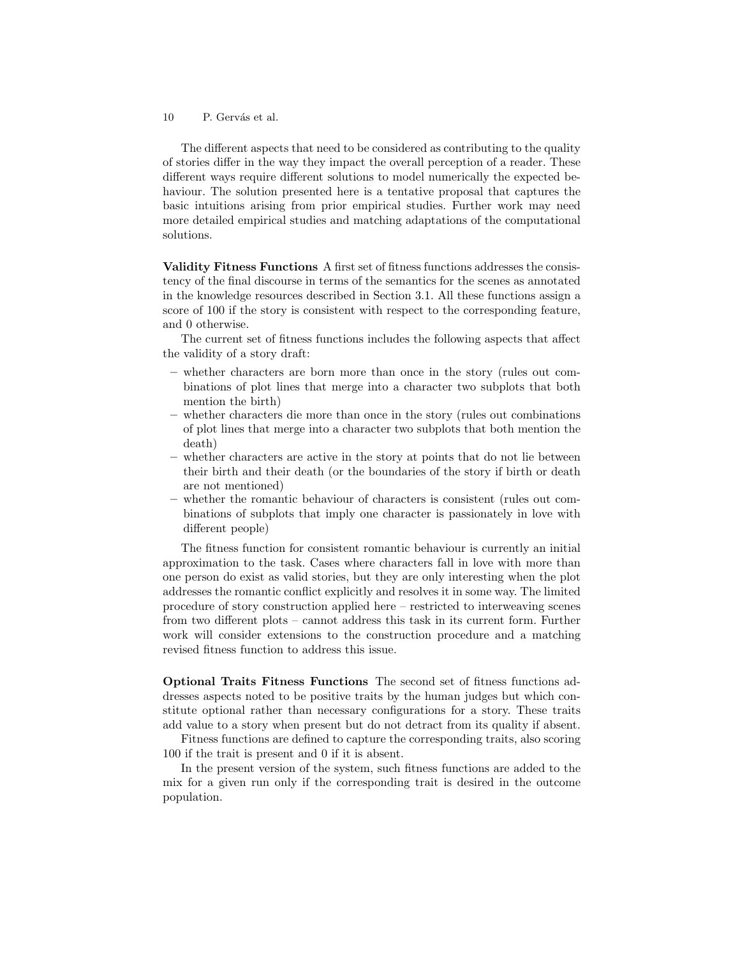The different aspects that need to be considered as contributing to the quality of stories differ in the way they impact the overall perception of a reader. These different ways require different solutions to model numerically the expected behaviour. The solution presented here is a tentative proposal that captures the basic intuitions arising from prior empirical studies. Further work may need more detailed empirical studies and matching adaptations of the computational solutions.

Validity Fitness Functions A first set of fitness functions addresses the consistency of the final discourse in terms of the semantics for the scenes as annotated in the knowledge resources described in Section 3.1. All these functions assign a score of 100 if the story is consistent with respect to the corresponding feature, and 0 otherwise.

The current set of fitness functions includes the following aspects that affect the validity of a story draft:

- whether characters are born more than once in the story (rules out combinations of plot lines that merge into a character two subplots that both mention the birth)
- whether characters die more than once in the story (rules out combinations of plot lines that merge into a character two subplots that both mention the death)
- whether characters are active in the story at points that do not lie between their birth and their death (or the boundaries of the story if birth or death are not mentioned)
- whether the romantic behaviour of characters is consistent (rules out combinations of subplots that imply one character is passionately in love with different people)

The fitness function for consistent romantic behaviour is currently an initial approximation to the task. Cases where characters fall in love with more than one person do exist as valid stories, but they are only interesting when the plot addresses the romantic conflict explicitly and resolves it in some way. The limited procedure of story construction applied here – restricted to interweaving scenes from two different plots – cannot address this task in its current form. Further work will consider extensions to the construction procedure and a matching revised fitness function to address this issue.

Optional Traits Fitness Functions The second set of fitness functions addresses aspects noted to be positive traits by the human judges but which constitute optional rather than necessary configurations for a story. These traits add value to a story when present but do not detract from its quality if absent.

Fitness functions are defined to capture the corresponding traits, also scoring 100 if the trait is present and 0 if it is absent.

In the present version of the system, such fitness functions are added to the mix for a given run only if the corresponding trait is desired in the outcome population.

<sup>10</sup> P. Gervás et al.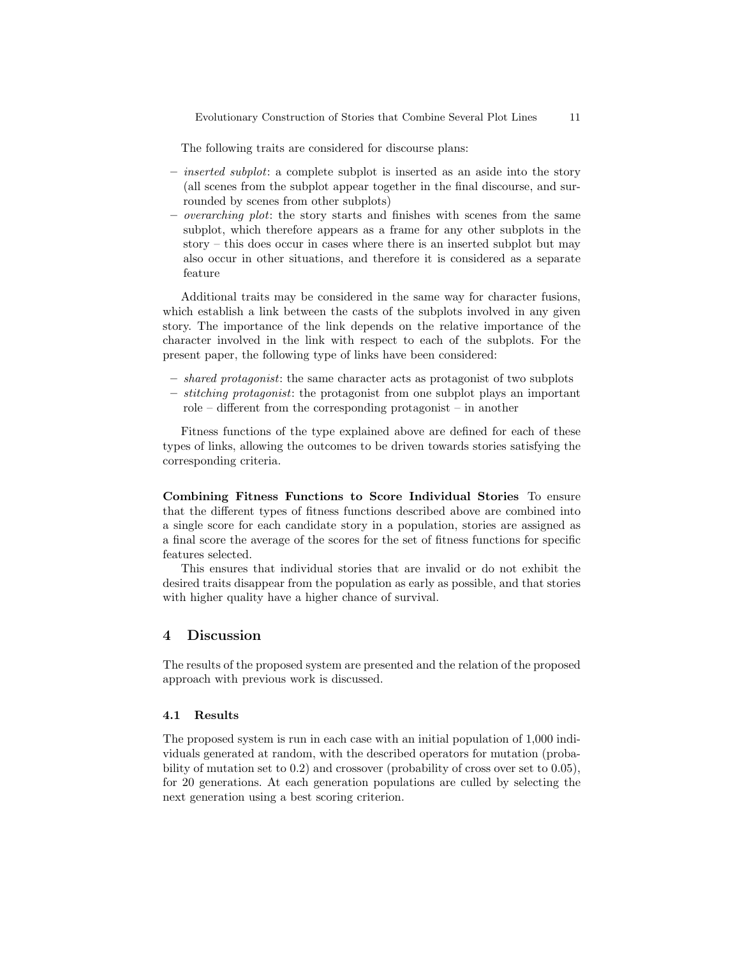Evolutionary Construction of Stories that Combine Several Plot Lines 11

The following traits are considered for discourse plans:

- inserted subplot: a complete subplot is inserted as an aside into the story (all scenes from the subplot appear together in the final discourse, and surrounded by scenes from other subplots)
- $\sim$  *overarching plot*: the story starts and finishes with scenes from the same subplot, which therefore appears as a frame for any other subplots in the story – this does occur in cases where there is an inserted subplot but may also occur in other situations, and therefore it is considered as a separate feature

Additional traits may be considered in the same way for character fusions, which establish a link between the casts of the subplots involved in any given story. The importance of the link depends on the relative importance of the character involved in the link with respect to each of the subplots. For the present paper, the following type of links have been considered:

- shared protagonist: the same character acts as protagonist of two subplots
- stitching protagonist: the protagonist from one subplot plays an important role – different from the corresponding protagonist – in another

Fitness functions of the type explained above are defined for each of these types of links, allowing the outcomes to be driven towards stories satisfying the corresponding criteria.

Combining Fitness Functions to Score Individual Stories To ensure that the different types of fitness functions described above are combined into a single score for each candidate story in a population, stories are assigned as a final score the average of the scores for the set of fitness functions for specific features selected.

This ensures that individual stories that are invalid or do not exhibit the desired traits disappear from the population as early as possible, and that stories with higher quality have a higher chance of survival.

# 4 Discussion

The results of the proposed system are presented and the relation of the proposed approach with previous work is discussed.

# 4.1 Results

The proposed system is run in each case with an initial population of 1,000 individuals generated at random, with the described operators for mutation (probability of mutation set to 0.2) and crossover (probability of cross over set to 0.05), for 20 generations. At each generation populations are culled by selecting the next generation using a best scoring criterion.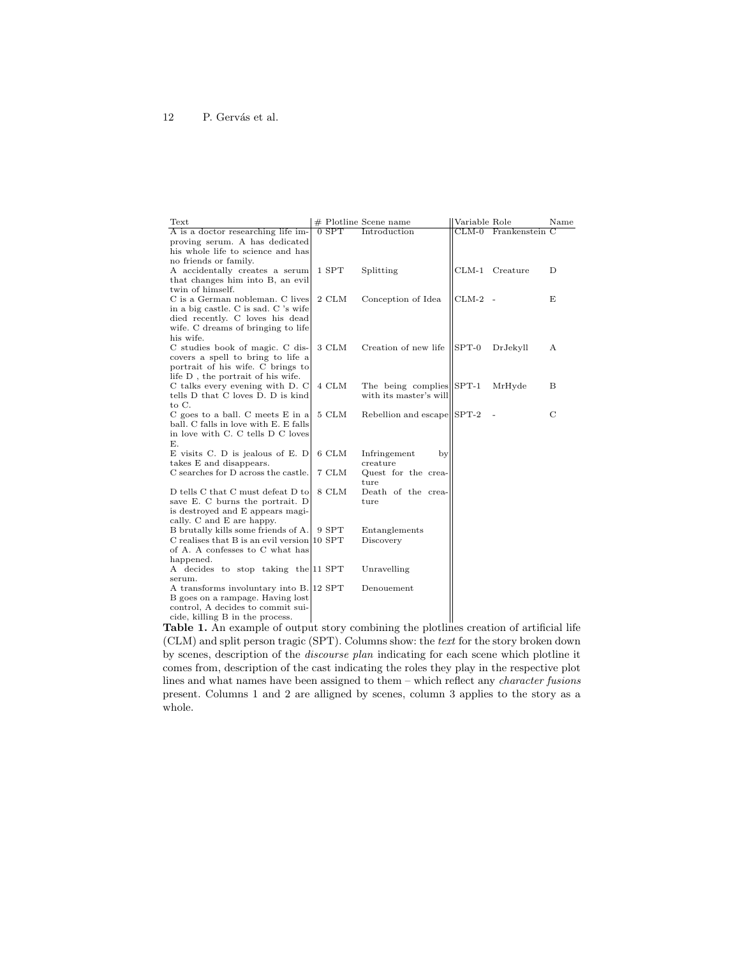| Text                                                                                                                                                          |                 | # Plotline Scene name                                 | Variable Role |                      | Name        |
|---------------------------------------------------------------------------------------------------------------------------------------------------------------|-----------------|-------------------------------------------------------|---------------|----------------------|-------------|
| A is a doctor researching life im-<br>proving serum. A has dedicated<br>his whole life to science and has<br>no friends or family.                            | 0 <sub>ST</sub> | Introduction                                          |               | CLM-0 Frankenstein C |             |
| A accidentally creates a serum<br>that changes him into B, an evil<br>twin of himself.                                                                        | 1 SPT           | Splitting                                             | $CLM-1$       | Creature             | D           |
| C is a German nobleman. C lives<br>in a big castle. C is sad. C 's wife<br>died recently. C loves his dead<br>wife. C dreams of bringing to life<br>his wife. | 2 CLM           | Conception of Idea                                    | $CLM-2$ -     |                      | Ε           |
| C studies book of magic. C dis-<br>covers a spell to bring to life a<br>portrait of his wife. C brings to<br>life D, the portrait of his wife.                | 3 CLM           | Creation of new life                                  | $SPT-0$       | DrJekyll             | А           |
| C talks every evening with D. C<br>tells D that C loves D. D is kind<br>to C.                                                                                 | 4 CLM           | The being complies SPT-1<br>with its master's will    |               | MrHyde               | Β           |
| C goes to a ball. C meets E in a<br>ball. C falls in love with E. E falls<br>in love with C. C tells D C loves<br>Е.                                          | 5 CLM           | Rebellion and escape SPT-2                            |               |                      | $\mathbf C$ |
| E visits C. D is jealous of E. D<br>takes E and disappears.<br>C searches for D across the castle.                                                            | 6 CLM<br>7 CLM  | Infringement<br>by<br>creature<br>Quest for the crea- |               |                      |             |
| D tells C that C must defeat D to<br>save E. C burns the portrait. D<br>is destroyed and E appears magi-<br>cally. C and E are happy.                         | 8 CLM           | ture<br>Death of the crea-<br>ture                    |               |                      |             |
| B brutally kills some friends of A.<br>C realises that B is an evil version 10 SPT<br>of A. A confesses to C what has<br>happened.                            | 9 SPT           | Entanglements<br>Discovery                            |               |                      |             |
| A decides to stop taking the 11 SPT<br>serum.                                                                                                                 |                 | Unravelling                                           |               |                      |             |
| A transforms involuntary into B. 12 SPT<br>B goes on a rampage. Having lost<br>control, A decides to commit sui-<br>cide, killing B in the process.           |                 | Denouement                                            |               |                      |             |

Table 1. An example of output story combining the plotlines creation of artificial life (CLM) and split person tragic (SPT). Columns show: the text for the story broken down by scenes, description of the discourse plan indicating for each scene which plotline it comes from, description of the cast indicating the roles they play in the respective plot lines and what names have been assigned to them – which reflect any character fusions present. Columns 1 and 2 are alligned by scenes, column 3 applies to the story as a whole.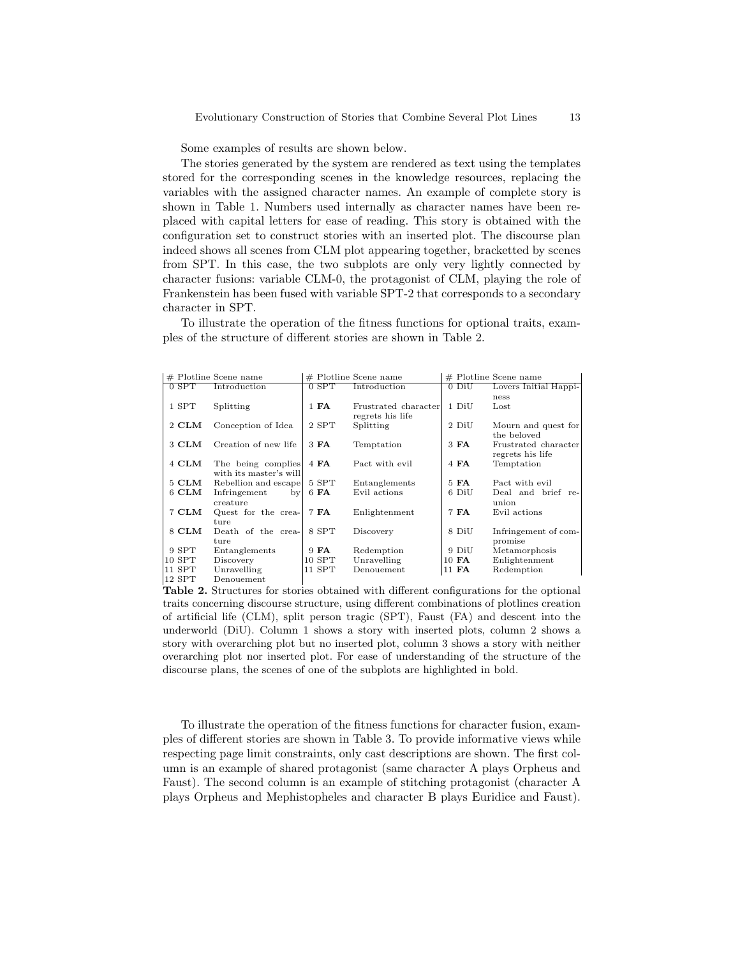Some examples of results are shown below.

The stories generated by the system are rendered as text using the templates stored for the corresponding scenes in the knowledge resources, replacing the variables with the assigned character names. An example of complete story is shown in Table 1. Numbers used internally as character names have been replaced with capital letters for ease of reading. This story is obtained with the configuration set to construct stories with an inserted plot. The discourse plan indeed shows all scenes from CLM plot appearing together, bracketted by scenes from SPT. In this case, the two subplots are only very lightly connected by character fusions: variable CLM-0, the protagonist of CLM, playing the role of Frankenstein has been fused with variable SPT-2 that corresponds to a secondary character in SPT.

To illustrate the operation of the fitness functions for optional traits, examples of the structure of different stories are shown in Table 2.

|                     | # Plotline Scene name      |          | $#$ Plotline Scene name |         | $#$ Plotline Scene name                  |
|---------------------|----------------------------|----------|-------------------------|---------|------------------------------------------|
| 0SPT                | Introduction               | 0SPT     | Introduction            | $0$ DiU | Lovers Initial Happi-                    |
|                     |                            |          |                         |         | ness                                     |
| 1 SPT               | Splitting                  | $1$ FA   | Frustrated character    | 1 DiU   | Lost                                     |
|                     |                            |          | regrets his life        |         |                                          |
| $2$ CLM             | Conception of Idea         | 2 SPT    | Splitting               | 2 DiU   | Mourn and quest for<br>the beloved       |
| 3 CLM               | Creation of new life       | 3 FA     | Temptation              | 3 FA    | Frustrated character<br>regrets his life |
| 4 CLM               | The being complies         | 4 FA     | Pact with evil          | 4 FA    | Temptation                               |
|                     | with its master's will     |          |                         |         |                                          |
| $5 \text{ CLM}$     | Rebellion and escape       | $5$ SPT  | Entanglements           | 5 FA    | Pact with evil                           |
| $6 \text{ CLM}$     | Infringement<br>bv         | 6 FA     | Evil actions            | 6 DiU   | Deal and brief re-                       |
|                     | creature                   |          |                         |         | union                                    |
| $7 \, \mathrm{CLM}$ | Quest for the crea-        | 7 FA     | Enlightenment           | 7 FA    | Evil actions                             |
|                     | ture                       |          |                         |         |                                          |
| 8 CLM               | Death of the crea-<br>ture | 8 SPT    | Discovery               | 8 DiU   | Infringement of com-<br>promise          |
| 9 SPT               | Entanglements              | 9 FA     | Redemption              | 9 DiU   | Metamorphosis                            |
| $10$ SPT            | Discovery                  | $10$ SPT | Unravelling             | 10 FA   | Enlightenment                            |
| $11$ SPT            | Unravelling                | $11$ SPT | Denouement              | 11 FA   | Redemption                               |
| $12$ SPT            | Denouement                 |          |                         |         |                                          |

Table 2. Structures for stories obtained with different configurations for the optional traits concerning discourse structure, using different combinations of plotlines creation of artificial life (CLM), split person tragic (SPT), Faust (FA) and descent into the underworld (DiU). Column 1 shows a story with inserted plots, column 2 shows a story with overarching plot but no inserted plot, column 3 shows a story with neither overarching plot nor inserted plot. For ease of understanding of the structure of the discourse plans, the scenes of one of the subplots are highlighted in bold.

To illustrate the operation of the fitness functions for character fusion, examples of different stories are shown in Table 3. To provide informative views while respecting page limit constraints, only cast descriptions are shown. The first column is an example of shared protagonist (same character A plays Orpheus and Faust). The second column is an example of stitching protagonist (character A plays Orpheus and Mephistopheles and character B plays Euridice and Faust).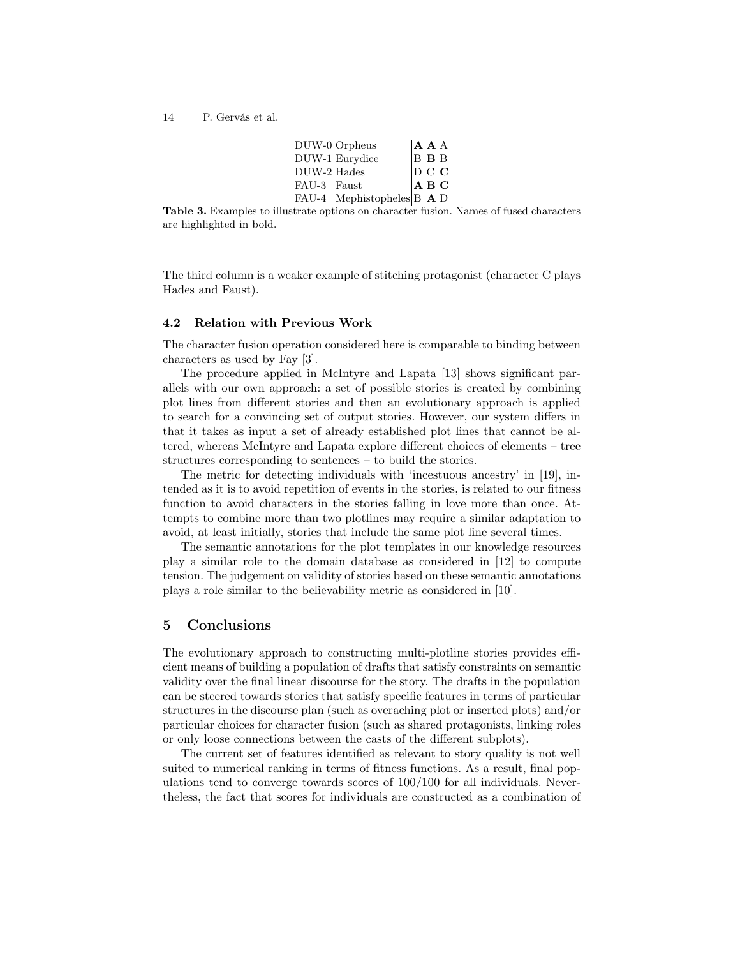|             | DUW-0 Orpheus                                           | $\bf{A}$ A A   |               |
|-------------|---------------------------------------------------------|----------------|---------------|
|             | DUW-1 Eurydice                                          | $ B \, B \, B$ |               |
| DUW-2 Hades |                                                         | $ D \ C \ C$   |               |
| FAU-3 Faust |                                                         |                | $A \, B \, C$ |
|             | FAU-4 Mephistopheles $\mathbf{B} \mathbf{A} \mathbf{D}$ |                |               |

Table 3. Examples to illustrate options on character fusion. Names of fused characters are highlighted in bold.

The third column is a weaker example of stitching protagonist (character C plays Hades and Faust).

#### 4.2 Relation with Previous Work

The character fusion operation considered here is comparable to binding between characters as used by Fay [3].

The procedure applied in McIntyre and Lapata [13] shows significant parallels with our own approach: a set of possible stories is created by combining plot lines from different stories and then an evolutionary approach is applied to search for a convincing set of output stories. However, our system differs in that it takes as input a set of already established plot lines that cannot be altered, whereas McIntyre and Lapata explore different choices of elements – tree structures corresponding to sentences – to build the stories.

The metric for detecting individuals with 'incestuous ancestry' in [19], intended as it is to avoid repetition of events in the stories, is related to our fitness function to avoid characters in the stories falling in love more than once. Attempts to combine more than two plotlines may require a similar adaptation to avoid, at least initially, stories that include the same plot line several times.

The semantic annotations for the plot templates in our knowledge resources play a similar role to the domain database as considered in [12] to compute tension. The judgement on validity of stories based on these semantic annotations plays a role similar to the believability metric as considered in [10].

# 5 Conclusions

The evolutionary approach to constructing multi-plotline stories provides efficient means of building a population of drafts that satisfy constraints on semantic validity over the final linear discourse for the story. The drafts in the population can be steered towards stories that satisfy specific features in terms of particular structures in the discourse plan (such as overaching plot or inserted plots) and/or particular choices for character fusion (such as shared protagonists, linking roles or only loose connections between the casts of the different subplots).

The current set of features identified as relevant to story quality is not well suited to numerical ranking in terms of fitness functions. As a result, final populations tend to converge towards scores of 100/100 for all individuals. Nevertheless, the fact that scores for individuals are constructed as a combination of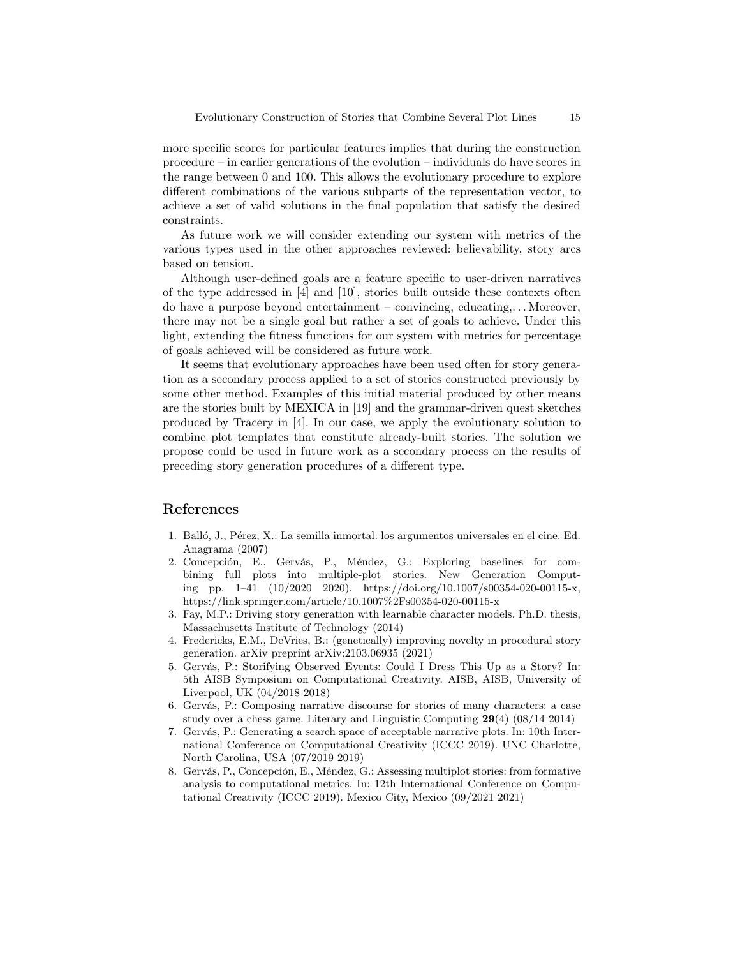more specific scores for particular features implies that during the construction procedure – in earlier generations of the evolution – individuals do have scores in the range between 0 and 100. This allows the evolutionary procedure to explore different combinations of the various subparts of the representation vector, to achieve a set of valid solutions in the final population that satisfy the desired constraints.

As future work we will consider extending our system with metrics of the various types used in the other approaches reviewed: believability, story arcs based on tension.

Although user-defined goals are a feature specific to user-driven narratives of the type addressed in [4] and [10], stories built outside these contexts often do have a purpose beyond entertainment – convincing, educating,. . . Moreover, there may not be a single goal but rather a set of goals to achieve. Under this light, extending the fitness functions for our system with metrics for percentage of goals achieved will be considered as future work.

It seems that evolutionary approaches have been used often for story generation as a secondary process applied to a set of stories constructed previously by some other method. Examples of this initial material produced by other means are the stories built by MEXICA in [19] and the grammar-driven quest sketches produced by Tracery in [4]. In our case, we apply the evolutionary solution to combine plot templates that constitute already-built stories. The solution we propose could be used in future work as a secondary process on the results of preceding story generation procedures of a different type.

# References

- 1. Balló, J., Pérez, X.: La semilla inmortal: los argumentos universales en el cine. Ed. Anagrama (2007)
- 2. Concepción, E., Gervás, P., Méndez, G.: Exploring baselines for combining full plots into multiple-plot stories. New Generation Computing pp. 1–41 (10/2020 2020). https://doi.org/10.1007/s00354-020-00115-x, https://link.springer.com/article/10.1007%2Fs00354-020-00115-x
- 3. Fay, M.P.: Driving story generation with learnable character models. Ph.D. thesis, Massachusetts Institute of Technology (2014)
- 4. Fredericks, E.M., DeVries, B.: (genetically) improving novelty in procedural story generation. arXiv preprint arXiv:2103.06935 (2021)
- 5. Gervás, P.: Storifying Observed Events: Could I Dress This Up as a Story? In: 5th AISB Symposium on Computational Creativity. AISB, AISB, University of Liverpool, UK (04/2018 2018)
- 6. Gerv´as, P.: Composing narrative discourse for stories of many characters: a case study over a chess game. Literary and Linguistic Computing 29(4) (08/14 2014)
- 7. Gervás, P.: Generating a search space of acceptable narrative plots. In: 10th International Conference on Computational Creativity (ICCC 2019). UNC Charlotte, North Carolina, USA (07/2019 2019)
- 8. Gervás, P., Concepción, E., Méndez, G.: Assessing multiplot stories: from formative analysis to computational metrics. In: 12th International Conference on Computational Creativity (ICCC 2019). Mexico City, Mexico (09/2021 2021)